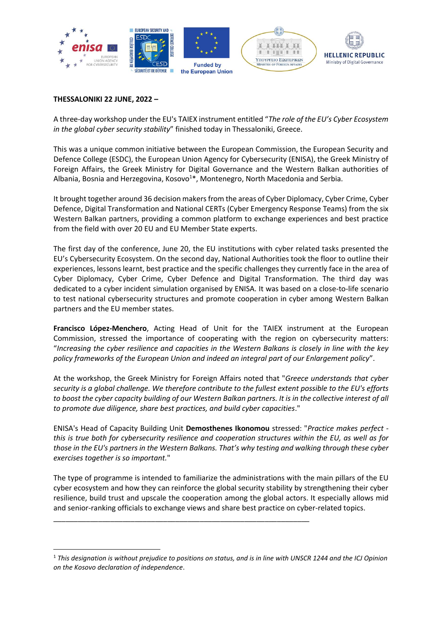

## **THESSALONIKI 22 JUNE, 2022 –**

A three-day workshop under the EU's TAIEX instrument entitled "*The role of the EU's Cyber Ecosystem in the global cyber security stability*" finished today in Thessaloniki, Greece.

This was a unique common initiative between the European Commission, the European Security and Defence College (ESDC), the European Union Agency for Cybersecurity (ENISA), the Greek Ministry of Foreign Affairs, the Greek Ministry for Digital Governance and the Western Balkan authorities of Albania, Bosnia and Herzegovina, Kosovo<sup>1\*</sup>, Montenegro, North Macedonia and Serbia.

It brought together around 36 decision makers from the areas of Cyber Diplomacy, Cyber Crime, Cyber Defence, Digital Transformation and National CERTs (Cyber Emergency Response Teams) from the six Western Balkan partners, providing a common platform to exchange experiences and best practice from the field with over 20 EU and EU Member State experts.

The first day of the conference, June 20, the EU institutions with cyber related tasks presented the EU's Cybersecurity Ecosystem. On the second day, National Authorities took the floor to outline their experiences, lessons learnt, best practice and the specific challenges they currently face in the area of Cyber Diplomacy, Cyber Crime, Cyber Defence and Digital Transformation. The third day was dedicated to a cyber incident simulation organised by ENISA. It was based on a close-to-life scenario to test national cybersecurity structures and promote cooperation in cyber among Western Balkan partners and the EU member states.

**Francisco López-Menchero**, Acting Head of Unit for the TAIEX instrument at the European Commission, stressed the importance of cooperating with the region on cybersecurity matters: "*Increasing the cyber resilience and capacities in the Western Balkans is closely in line with the key policy frameworks of the European Union and indeed an integral part of our Enlargement policy*".

At the workshop, the Greek Ministry for Foreign Affairs noted that "*Greece understands that cyber security is a global challenge. We therefore contribute to the fullest extent possible to the EU's efforts to boost the cyber capacity building of our Western Balkan partners. It is in the collective interest of all to promote due diligence, share best practices, and build cyber capacities*."

ENISA's Head of Capacity Building Unit **Demosthenes Ikonomou** stressed: "*Practice makes perfect this is true both for cybersecurity resilience and cooperation structures within the EU, as well as for those in the EU's partners in the Western Balkans. That's why testing and walking through these cyber exercises together is so important.*"

The type of programme is intended to familiarize the administrations with the main pillars of the EU cyber ecosystem and how they can reinforce the global security stability by strengthening their cyber resilience, build trust and upscale the cooperation among the global actors. It especially allows mid and senior-ranking officials to exchange views and share best practice on cyber-related topics.

\_\_\_\_\_\_\_\_\_\_\_\_\_\_\_\_\_\_\_\_\_\_\_\_\_\_\_\_\_\_\_\_\_\_\_\_\_\_\_\_\_\_\_\_\_\_\_\_\_\_\_\_\_\_\_\_\_\_\_\_\_\_\_

1

<sup>1</sup> *This designation is without prejudice to positions on status, and is in line with UNSCR 1244 and the ICJ Opinion on the Kosovo declaration of independence*.